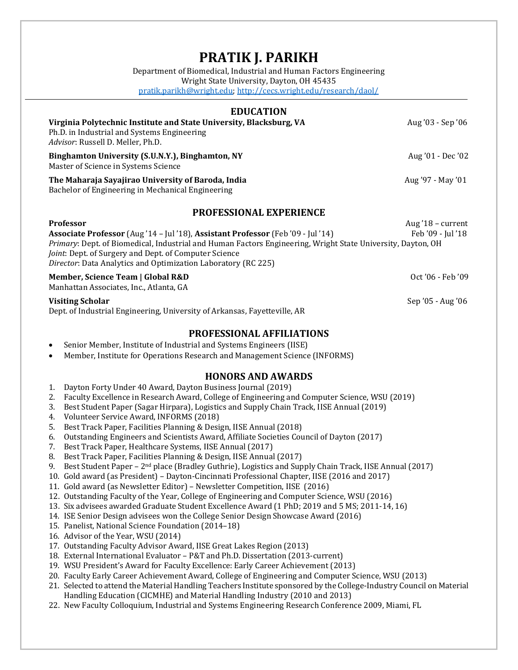# **PRATIK J. PARIKH**

Department of Biomedical, Industrial and Human Factors Engineering Wright State University, Dayton, OH 45435 [pratik.parikh@wright.edu;](mailto:pratik.parikh@wright.edu)<http://cecs.wright.edu/research/daol/>

| <b>EDUCATION</b>                                                                                                                                                                                                                      |                     |
|---------------------------------------------------------------------------------------------------------------------------------------------------------------------------------------------------------------------------------------|---------------------|
| Virginia Polytechnic Institute and State University, Blacksburg, VA<br>Ph.D. in Industrial and Systems Engineering<br>Advisor: Russell D. Meller, Ph.D.                                                                               | Aug '03 - Sep '06   |
| Binghamton University (S.U.N.Y.), Binghamton, NY<br>Master of Science in Systems Science                                                                                                                                              | Aug '01 - Dec '02   |
| The Maharaja Sayajirao University of Baroda, India<br>Bachelor of Engineering in Mechanical Engineering                                                                                                                               | Aug '97 - May '01   |
| <b>PROFESSIONAL EXPERIENCE</b>                                                                                                                                                                                                        |                     |
| <b>Professor</b>                                                                                                                                                                                                                      | Aug $'18$ – current |
| Associate Professor (Aug '14 - Jul '18), Assistant Professor (Feb '09 - Jul '14)                                                                                                                                                      | Feb '09 - Jul '18   |
| Primary: Dept. of Biomedical, Industrial and Human Factors Engineering, Wright State University, Dayton, OH<br>Joint: Dept. of Surgery and Dept. of Computer Science<br>Director: Data Analytics and Optimization Laboratory (RC 225) |                     |
| Member, Science Team   Global R&D<br>Manhattan Associates, Inc., Atlanta, GA                                                                                                                                                          | $Oct'06 - Feb'09$   |

#### **Visiting Scholar Sep '05 - Aug '06**

Dept. of Industrial Engineering, University of Arkansas, Fayetteville, AR

#### **PROFESSIONAL AFFILIATIONS**

- Senior Member, Institute of Industrial and Systems Engineers (IISE)
- Member, Institute for Operations Research and Management Science (INFORMS)

## **HONORS AND AWARDS**

- 1. Dayton Forty Under 40 Award, Dayton Business Journal (2019)
- 2. Faculty Excellence in Research Award, College of Engineering and Computer Science, WSU (2019)
- 3. Best Student Paper (Sagar Hirpara), Logistics and Supply Chain Track, IISE Annual (2019)
- 4. Volunteer Service Award, INFORMS (2018)
- 5. Best Track Paper, Facilities Planning & Design, IISE Annual (2018)
- 6. Outstanding Engineers and Scientists Award, Affiliate Societies Council of Dayton (2017)
- 7. Best Track Paper, Healthcare Systems, IISE Annual (2017)
- 8. Best Track Paper, Facilities Planning & Design, IISE Annual (2017)
- 9. Best Student Paper 2nd place (Bradley Guthrie), Logistics and Supply Chain Track, IISE Annual (2017)
- 10. Gold award (as President) Dayton-Cincinnati Professional Chapter, IISE (2016 and 2017)
- 11. Gold award (as Newsletter Editor) Newsletter Competition, IISE (2016)
- 12. Outstanding Faculty of the Year, College of Engineering and Computer Science, WSU (2016)
- 13. Six advisees awarded Graduate Student Excellence Award (1 PhD; 2019 and 5 MS; 2011-14, 16)
- 14. ISE Senior Design advisees won the College Senior Design Showcase Award (2016)
- 15. Panelist, National Science Foundation (2014–18)
- 16. Advisor of the Year, WSU (2014)
- 17. Outstanding Faculty Advisor Award, IISE Great Lakes Region (2013)
- 18. External International Evaluator P&T and Ph.D. Dissertation (2013-current)
- 19. WSU President's Award for Faculty Excellence: Early Career Achievement (2013)
- 20. Faculty Early Career Achievement Award, College of Engineering and Computer Science, WSU (2013)
- 21. Selected to attend the Material Handling Teachers Institute sponsored by the College-Industry Council on Material Handling Education (CICMHE) and Material Handling Industry (2010 and 2013)
- 22. New Faculty Colloquium, Industrial and Systems Engineering Research Conference 2009, Miami, FL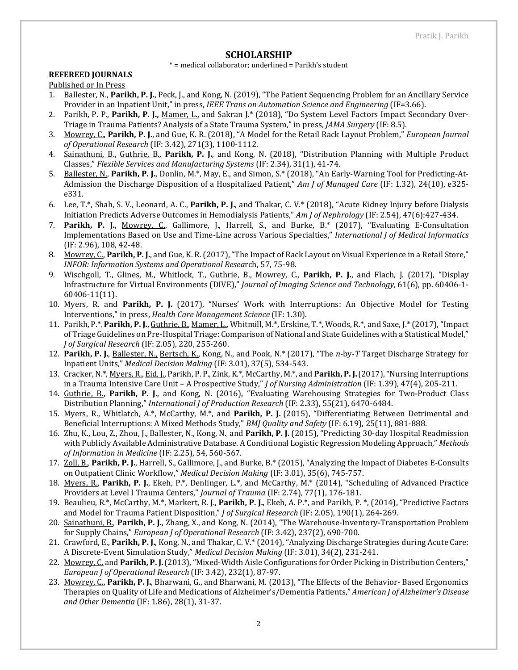#### **SCHOLARSHIP**

\* = medical collaborator; underlined = Parikh's student

## **REFEREED JOURNALS**

Published or In Press

- 1. Ballester, N., **Parikh, P. J.**, Peck, J., and Kong, N. (2019), "The Patient Sequencing Problem for an Ancillary Service Provider in an Inpatient Unit," in press, *IEEE Trans on Automation Science and Engineering* (IF=3.66).
- 2. Parikh, P. P., **Parikh, P. J.,** Mamer, L., and Sakran J.\* (2018), "Do System Level Factors Impact Secondary Over-Triage in Trauma Patients? Analysis of a State Trauma System," in press, *JAMA Surgery* (IF: 8.5).
- 3. Mowrey, C., **Parikh, P. J.**, and Gue, K. R. (2018), "A Model for the Retail Rack Layout Problem," *European Journal of Operational Research* (IF: 3.42), 271(3), 1100-1112.
- 4. Sainathuni, B., Guthrie, B., **Parikh, P. J.**, and Kong, N. (2018), "Distribution Planning with Multiple Product Classes," *Flexible Services and Manufacturing Systems* (IF: 2.34), 31(1), 41-74.
- 5. Ballester, N., **Parikh, P. J.**, Donlin, M.\*, May, E., and Simon, S.\* (2018), "An Early-Warning Tool for Predicting-At-Admission the Discharge Disposition of a Hospitalized Patient," *Am J of Managed Care* (IF: 1.32), 24(10), e325 e331.
- 6. Lee, T.\*, Shah, S. V., Leonard, A. C., **Parikh, P. J.**, and Thakar, C. V.\* (2018), "Acute Kidney Injury before Dialysis Initiation Predicts Adverse Outcomes in Hemodialysis Patients," *Am J of Nephrology* (IF: 2.54), 47(6):427-434.
- 7. **Parikh, P. J.**, Mowrey, C., Gallimore, J., Harrell, S., and Burke, B.\* (2017), "Evaluating E-Consultation Implementations Based on Use and Time-Line across Various Specialties," *International J of Medical Informatics*  (IF: 2.96), 108, 42-48.
- 8. Mowrey, C., **Parikh, P. J.**, and Gue, K. R. (2017), "The Impact of Rack Layout on Visual Experience in a Retail Store," *INFOR: Information Systems and Operational Resea*rch, 57, 75-98.
- 9. Wischgoll, T., Glines, M., Whitlock, T., Guthrie, B., Mowrey, C., **Parikh, P. J.**, and Flach, J. (2017), "Display Infrastructure for Virtual Environments (DIVE)," *Journal of Imaging Science and Technology*, 61(6), pp. 60406-1- 60406-11(11).
- 10. Myers, R. and **Parikh, P. J.** (2017), "Nurses' Work with Interruptions: An Objective Model for Testing Interventions," in press, *Health Care Management Science* (IF: 1.30).
- 11. Parikh, P.\*, **Parikh, P. J.**, Guthrie, B., Mamer, L., Whitmill, M.\*, Erskine, T.\*, Woods, R.\*, and Saxe, J.\* (2017), "Impact of Triage Guidelines on Pre-Hospital Triage: Comparison of National and State Guidelines with a Statistical Model," *J of Surgical Research* (IF: 2.05), 220, 255-260.
- 12. **Parikh, P. J.**, Ballester, N., Bertsch, K., Kong, N., and Pook, N.\* (2017), "The *n*-by-*T* Target Discharge Strategy for Inpatient Units," *Medical Decision Making* (IF: 3.01), 37(5), 534-543.
- 13. Cracker, N.\*, Myers, R., Eid, J., Parikh, P. P., Zink, K.\*, McCarthy, M.\*, and **Parikh, P. J.**(2017),"Nursing Interruptions in a Trauma Intensive Care Unit – A Prospective Study," *J of Nursing Administration* (IF: 1.39), 47(4), 205-211.
- 14. Guthrie, B., **Parikh, P. J.**, and Kong, N. (2016), "Evaluating Warehousing Strategies for Two-Product Class Distribution Planning," *International J of Production Research* (IF: 2.33), 55(21), 6470-6484.
- 15. Myers, R., Whitlatch, A.\*, McCarthy, M.\*, and **Parikh, P. J.** (2015), "Differentiating Between Detrimental and Beneficial Interruptions: A Mixed Methods Study," *BMJ Quality and Safety* (IF: 6.19), 25(11), 881-888.
- 16. Zhu, K., Lou, Z., Zhou, J., Ballester, N., Kong, N.*,* and **Parikh, P. J.** (2015), "Predicting 30-day Hospital Readmission with Publicly Available Administrative Database. A Conditional Logistic Regression Modeling Approach," *Methods of Information in Medicine* (IF: 2.25), 54, 560-567.
- 17. Zoll, B., **Parikh, P. J.**, Harrell, S., Gallimore, J., and Burke, B.\* (2015), "Analyzing the Impact of Diabetes E-Consults on Outpatient Clinic Workflow," *Medical Decision Making* (IF: 3.01), 35(6), 745-757.
- 18. Myers, R., **Parikh, P. J.**, Ekeh, P.\*, Denlinger, L.\*, and McCarthy, M.\* (2014), "Scheduling of Advanced Practice Providers at Level I Trauma Centers," *Journal of Trauma* (IF: 2.74), 77(1), 176-181.
- 19. Beaulieu, R.\*, McCarthy, M.\*, Markert, R. J., **Parikh, P. J.**, Ekeh, A. P.\*, and Parikh, P. \*, (2014), "Predictive Factors and Model for Trauma Patient Disposition," *J of Surgical Research* (IF: 2.05), 190(1), 264-269.
- 20. Sainathuni, B., **Parikh, P. J.**, Zhang, X., and Kong, N. (2014), "The Warehouse-Inventory-Transportation Problem for Supply Chains," *European J of Operational Research* (IF: 3.42), 237(2), 690-700.
- 21. Crawford, E., **Parikh, P. J.**, Kong, N., and Thakar, C. V.\* (2014), "Analyzing Discharge Strategies during Acute Care: A Discrete-Event Simulation Study," *Medical Decision Making* (IF: 3.01), 34(2), 231-241.
- 22. Mowrey, C. and **Parikh, P. J.**(2013), "Mixed-Width Aisle Configurations for Order Picking in Distribution Centers," *European J of Operational Research* (IF: 3.42), 232(1), 87-97.
- 23. Mowrey, C., **Parikh, P. J.**, Bharwani, G., and Bharwani, M. (2013), "The Effects of the Behavior- Based Ergonomics Therapies on Quality of Life and Medications of Alzheimer's/Dementia Patients," *American J of Alzheimer's Disease and Other Dementia* (IF: 1.86), 28(1), 31-37.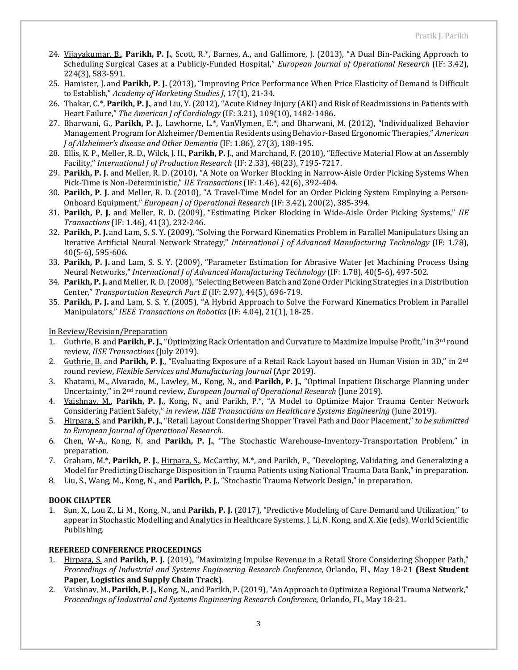- 24. Vijayakumar, B., **Parikh, P. J.**, Scott, R.\*, Barnes, A., and Gallimore, J. (2013), "A Dual Bin-Packing Approach to Scheduling Surgical Cases at a Publicly-Funded Hospital," *European Journal of Operational Research* (IF: 3.42), 224(3), 583-591.
- 25. Hamister, J. and **Parikh, P. J.** (2013), "Improving Price Performance When Price Elasticity of Demand is Difficult to Establish," *Academy of Marketing Studies J*, 17(1), 21-34.
- 26. Thakar, C.\*, **Parikh, P. J.**, and Liu, Y. (2012), "Acute Kidney Injury (AKI) and Risk of Readmissions in Patients with Heart Failure," *The American J of Cardiology* (IF: 3.21), 109(10), 1482-1486.
- 27. Bharwani, G., **Parikh, P. J.**, Lawhorne, L.\*, VanVlymen, E.\*, and Bharwani, M. (2012), "Individualized Behavior Management Program for Alzheimer/Dementia Residents using Behavior-Based Ergonomic Therapies," *American J of Alzheimer's disease and Other Dementia* (IF: 1.86), 27(3), 188-195.
- 28. Ellis, K. P., Meller, R. D., Wilck, J. H., **Parikh, P. J.**, and Marchand, F. (2010), "Effective Material Flow at an Assembly Facility," *International J of Production Research* (IF: 2.33), 48(23), 7195-7217.
- 29. **Parikh, P. J.** and Meller, R. D.(2010), "A Note on Worker Blocking in Narrow-Aisle Order Picking Systems When Pick-Time is Non-Deterministic," *IIE Transactions* (IF: 1.46), 42(6), 392-404.
- 30. **Parikh, P. J.** and Meller, R. D. (2010), "A Travel-Time Model for an Order Picking System Employing a Person-Onboard Equipment," *European J of Operational Research* (IF: 3.42), 200(2), 385-394.
- 31. **Parikh, P. J.** and Meller, R. D. (2009), "Estimating Picker Blocking in Wide-Aisle Order Picking Systems," *IIE Transactions* (IF: 1.46), 41(3), 232-246.
- 32. **Parikh, P. J.** and Lam, S. S. Y. (2009), "Solving the Forward Kinematics Problem in Parallel Manipulators Using an Iterative Artificial Neural Network Strategy," *International J of Advanced Manufacturing Technology* (IF: 1.78), 40(5-6), 595-606.
- 33. **Parikh, P. J.** and Lam, S. S. Y. (2009), "Parameter Estimation for Abrasive Water Jet Machining Process Using Neural Networks," *International J of Advanced Manufacturing Technology* (IF: 1.78), 40(5-6), 497-502.
- 34. **Parikh, P. J.** and Meller, R. D.(2008), "Selecting Between Batch and Zone Order Picking Strategies in a Distribution Center," *Transportation Research Part E* (IF: 2.97), 44(5), 696-719.
- 35. **Parikh, P. J.** and Lam, S. S. Y. (2005), "A Hybrid Approach to Solve the Forward Kinematics Problem in Parallel Manipulators," *IEEE Transactions on Robotics* (IF: 4.04), 21(1), 18-25.

In Review/Revision/Preparation

- 1. Guthrie, B. and **Parikh, P. J.**, "Optimizing Rack Orientation and Curvature to Maximize Impulse Profit," in 3rd round review, *IISE Transactions* (July 2019).
- 2. Guthrie, B. and **Parikh, P. J.**, "Evaluating Exposure of a Retail Rack Layout based on Human Vision in 3D," in 2nd round review*[, Flexible](https://www.journals.elsevier.com/computers-environment-and-urban-systems) Services and Manufacturing Journal* (Apr 2019).
- 3. Khatami, M., Alvarado, M., Lawley, M., Kong, N., and **Parikh, P. J.**, "Optimal Inpatient Discharge Planning under Uncertainty," in 2nd round review, *European Journal of Operational Research* (June 2019).
- 4. Vaishnav, M., **Parikh, P. J.**, Kong, N., and Parikh, P.\*, "A Model to Optimize Major Trauma Center Network Considering Patient Safety," *in review, IISE Transactions on Healthcare Systems Engineering* (June 2019).
- 5. Hirpara, S. and **Parikh, P. J.**, "Retail Layout Considering Shopper Travel Path and Door Placement," *to be submitted to European Journal of Operational Research.*
- 6. Chen, W-A., Kong, N. and **Parikh, P. J.**, "The Stochastic Warehouse-Inventory-Transportation Problem," in preparation.
- 7. Graham, M.\*, **Parikh, P. J.**, Hirpara, S., McCarthy, M.\*, and Parikh, P., "Developing, Validating, and Generalizing a Model for Predicting Discharge Disposition in Trauma Patients using National Trauma Data Bank," in preparation.
- 8. Liu, S., Wang, M., Kong, N., and **Parikh, P. J**., "Stochastic Trauma Network Design," in preparation.

#### **BOOK CHAPTER**

1. Sun, X., Lou Z., Li M., Kong, N., and **Parikh, P. J.** (2017), "Predictive Modeling of Care Demand and Utilization," to appear in Stochastic Modelling and Analytics in Healthcare Systems. J. Li, N. Kong, and X. Xie (eds). World Scientific Publishing.

#### **REFEREED CONFERENCE PROCEEDINGS**

- 1. Hirpara, S. and **Parikh, P. J.** (2019), "Maximizing Impulse Revenue in a Retail Store Considering Shopper Path," *Proceedings of Industrial and Systems Engineering Research Conference*, Orlando, FL, May 18-21 **(Best Student Paper, Logistics and Supply Chain Track)**.
- 2. Vaishnav, M., **Parikh, P. J.**, Kong, N., and Parikh, P. (2019), "An Approach to Optimize a Regional Trauma Network," *Proceedings of Industrial and Systems Engineering Research Conference*, Orlando, FL, May 18-21.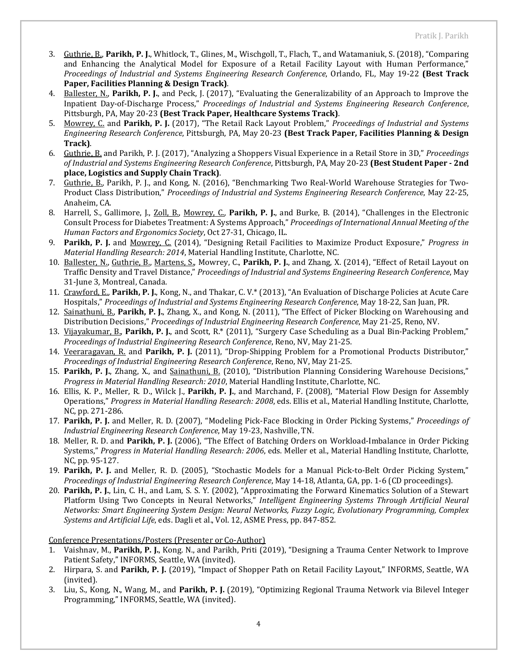- 3. Guthrie, B., **Parikh, P. J.**, Whitlock, T., Glines, M., Wischgoll, T., Flach, T., and Watamaniuk, S. (2018), "Comparing and Enhancing the Analytical Model for Exposure of a Retail Facility Layout with Human Performance," *Proceedings of Industrial and Systems Engineering Research Conference*, Orlando, FL, May 19-22 **(Best Track Paper, Facilities Planning & Design Track)**.
- 4. Ballester, N., **Parikh, P. J.**, and Peck, J. (2017), "Evaluating the Generalizability of an Approach to Improve the Inpatient Day-of-Discharge Process," *Proceedings of Industrial and Systems Engineering Research Conference*, Pittsburgh, PA, May 20-23 **(Best Track Paper, Healthcare Systems Track)**.
- 5. Mowrey, C. and **Parikh, P. J.** (2017), "The Retail Rack Layout Problem," *Proceedings of Industrial and Systems Engineering Research Conference*, Pittsburgh, PA, May 20-23 **(Best Track Paper, Facilities Planning & Design Track)**.
- 6. Guthrie, B. and Parikh, P. J. (2017), "Analyzing a Shoppers Visual Experience in a Retail Store in 3D," *Proceedings of Industrial and Systems Engineering Research Conference*, Pittsburgh, PA, May 20-23 **(Best Student Paper - 2nd place, Logistics and Supply Chain Track)**.
- 7. Guthrie, B., Parikh, P. J., and Kong, N. (2016), "Benchmarking Two Real-World Warehouse Strategies for Two-Product Class Distribution," *Proceedings of Industrial and Systems Engineering Research Conference*, May 22-25, Anaheim, CA.
- 8. Harrell, S., Gallimore, J., Zoll, B., Mowrey, C., **Parikh, P. J.**, and Burke, B. (2014), "Challenges in the Electronic Consult Process for Diabetes Treatment: A Systems Approach," *Proceedings of International Annual Meeting of the Human Factors and Ergonomics Society*, Oct 27-31, Chicago, IL.
- 9. **Parikh, P. J.** and Mowrey, C. (2014), "Designing Retail Facilities to Maximize Product Exposure," *Progress in Material Handling Research: 2014*, Material Handling Institute, Charlotte, NC.
- 10. Ballester, N., Guthrie, B., Martens, S., Mowrey, C., **Parikh, P. J.**, and Zhang, X. (2014), "Effect of Retail Layout on Traffic Density and Travel Distance," *Proceedings of Industrial and Systems Engineering Research Conference*, May 31-June 3, Montreal, Canada.
- 11. Crawford, E., **Parikh, P. J.**, Kong, N., and Thakar, C. V.\* (2013), "An Evaluation of Discharge Policies at Acute Care Hospitals," *Proceedings of Industrial and Systems Engineering Research Conference*, May 18-22, San Juan, PR.
- 12. Sainathuni, B., **Parikh, P. J.**, Zhang, X., and Kong, N. (2011), "The Effect of Picker Blocking on Warehousing and Distribution Decisions," *Proceedings of Industrial Engineering Research Conference*, May 21-25, Reno, NV.
- 13. Vijayakumar, B., **Parikh, P. J.**, and Scott, R.\* (2011), "Surgery Case Scheduling as a Dual Bin-Packing Problem," *Proceedings of Industrial Engineering Research Conference*, Reno, NV, May 21-25.
- 14. Veeraragavan, R. and **Parikh, P. J.** (2011), "Drop-Shipping Problem for a Promotional Products Distributor," *Proceedings of Industrial Engineering Research Conference*, Reno, NV, May 21-25.
- 15. **Parikh, P. J.**, Zhang, X., and Sainathuni, B. (2010), "Distribution Planning Considering Warehouse Decisions," *Progress in Material Handling Research: 2010*, Material Handling Institute, Charlotte, NC.
- 16. Ellis, K. P., Meller, R. D., Wilck J., **Parikh, P. J.**, and Marchand, F. (2008), "Material Flow Design for Assembly Operations," *Progress in Material Handling Research: 2008*, eds. Ellis et al., Material Handling Institute, Charlotte, NC, pp. 271-286.
- 17. **Parikh, P. J.** and Meller, R. D. (2007), "Modeling Pick-Face Blocking in Order Picking Systems," *Proceedings of Industrial Engineering Research Conference*, May 19-23, Nashville, TN.
- 18. Meller, R. D. and **Parikh, P. J.** (2006), "The Effect of Batching Orders on Workload-Imbalance in Order Picking Systems," *Progress in Material Handling Research: 2006*, eds. Meller et al., Material Handling Institute, Charlotte, NC, pp. 95-127.
- 19. **Parikh, P. J.** and Meller, R. D. (2005), "Stochastic Models for a Manual Pick-to-Belt Order Picking System," *Proceedings of Industrial Engineering Research Conference*, May 14-18, Atlanta, GA, pp. 1-6 (CD proceedings).
- 20. **Parikh, P. J.**, Lin, C. H., and Lam, S. S. Y. (2002), "Approximating the Forward Kinematics Solution of a Stewart Platform Using Two Concepts in Neural Networks," *Intelligent Engineering Systems Through Artificial Neural Networks: Smart Engineering System Design: Neural Networks, Fuzzy Logic, Evolutionary Programming, Complex Systems and Artificial Life*, eds. Dagli et al., Vol. 12, ASME Press, pp. 847-852.

Conference Presentations/Posters (Presenter or Co-Author)

- 1. Vaishnav, M., **Parikh, P. J.**, Kong. N., and Parikh, Priti (2019), ["Designing a Trauma Center Network to Improve](https://www.abstractsonline.com/cSubmit/submitedit.asp?userFrom=Dashboard&mKey=%7bDA9FD773-1961-4264-8491-297D9CB12146%7d&CKey=7C6D0C2E-4B9F-4C73-A8D8-0D899DF632D1)  [Patient Safety,"](https://www.abstractsonline.com/cSubmit/submitedit.asp?userFrom=Dashboard&mKey=%7bDA9FD773-1961-4264-8491-297D9CB12146%7d&CKey=7C6D0C2E-4B9F-4C73-A8D8-0D899DF632D1) INFORMS, Seattle, WA (invited).
- 2. Hirpara, S. and **Parikh, P. J.** (2019), "Impact of Shopper Path on Retail Facility Layout," INFORMS, Seattle, WA (invited).
- 3. Liu, S., Kong, N., Wang, M., and **Parikh, P. J.** (2019), "Optimizing Regional Trauma Network via Bilevel Integer Programming," INFORMS, Seattle, WA (invited).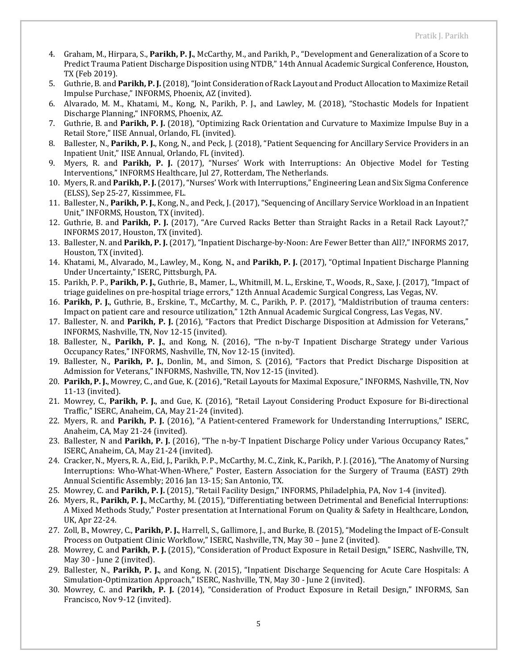- 4. Graham, M., Hirpara, S., **Parikh, P. J.**, McCarthy, M., and Parikh, P., "Development and Generalization of a Score to Predict Trauma Patient Discharge Disposition using NTDB," 14th Annual Academic Surgical Conference, Houston, TX (Feb 2019).
- 5. Guthrie, B. and **Parikh, P. J.**(2018), "Joint Consideration of Rack Layout and Product Allocation to Maximize Retail Impulse Purchase," INFORMS, Phoenix, AZ (invited).
- 6. Alvarado, M. M., Khatami, M., Kong, N., Parikh, P. J., and Lawley, M. (2018), ["Stochastic Models for Inpatient](http://www.abstractsonline.com/pp8/#!/4701/presentation/20486)  [Discharge Planning,"](http://www.abstractsonline.com/pp8/#!/4701/presentation/20486) INFORMS, Phoenix, AZ.
- 7. Guthrie, B. and **Parikh, P. J.** (2018), "Optimizing Rack Orientation and Curvature to Maximize Impulse Buy in a Retail Store," IISE Annual, Orlando, FL (invited).
- 8. Ballester, N., **Parikh, P. J.**, Kong, N., and Peck, J. (2018), "Patient Sequencing for Ancillary Service Providers in an Inpatient Unit," IISE Annual, Orlando, FL (invited).
- 9. Myers, R. and **Parikh, P. J.** (2017), "Nurses' Work with Interruptions: An Objective Model for Testing Interventions," INFORMS Healthcare, Jul 27, Rotterdam, The Netherlands.
- 10. Myers, R. and **Parikh, P. J.** (2017), "Nurses' Work with Interruptions," Engineering Lean and Six Sigma Conference (ELSS), Sep 25-27, Kissimmee, FL.
- 11. Ballester, N., **Parikh, P. J.**, Kong, N., and Peck, J. (2017), "Sequencing of Ancillary Service Workload in an Inpatient Unit," INFORMS, Houston, TX (invited).
- 12. Guthrie, B. and **Parikh, P. J.** (2017), "Are Curved Racks Better than Straight Racks in a Retail Rack Layout?," INFORMS 2017, Houston, TX (invited).
- 13. Ballester, N. and **Parikh, P. J.** (2017), "Inpatient Discharge-by-Noon: Are Fewer Better than All?," INFORMS 2017, Houston, TX (invited).
- 14. Khatami, M., Alvarado, M., Lawley, M., Kong, N., and **Parikh, P. J.** (2017), "Optimal Inpatient Discharge Planning Under Uncertainty," ISERC, Pittsburgh, PA.
- 15. Parikh, P. P., **Parikh, P. J.**, Guthrie, B., Mamer, L., Whitmill, M. L., Erskine, T., Woods, R., Saxe, J. (2017), "Impact of triage guidelines on pre-hospital triage errors," 12th Annual Academic Surgical Congress, Las Vegas, NV.
- 16. **Parikh, P. J.**, Guthrie, B., Erskine, T., McCarthy, M. C., Parikh, P. P. (2017), "Maldistribution of trauma centers: Impact on patient care and resource utilization," 12th Annual Academic Surgical Congress, Las Vegas, NV.
- 17. Ballester, N. and **Parikh, P. J.** (2016), "Factors that Predict Discharge Disposition at Admission for Veterans," INFORMS, Nashville, TN, Nov 12-15 (invited).
- 18. Ballester, N., **Parikh, P. J.**, and Kong, N. (2016), "The n-by-T Inpatient Discharge Strategy under Various Occupancy Rates," INFORMS, Nashville, TN, Nov 12-15 (invited).
- 19. Ballester, N., **Parikh, P. J.**, Donlin, M., and Simon, S. (2016), "Factors that Predict Discharge Disposition at Admission for Veterans," INFORMS, Nashville, TN, Nov 12-15 (invited).
- 20. **Parikh, P. J.**, Mowrey, C., and Gue, K. (2016), "Retail Layouts for Maximal Exposure," INFORMS, Nashville, TN, Nov 11-13 (invited).
- 21. Mowrey, C., **Parikh, P. J.**, and Gue, K. (2016), "Retail Layout Considering Product Exposure for Bi-directional Traffic," ISERC, Anaheim, CA, May 21-24 (invited).
- 22. Myers, R. and **Parikh, P. J.** (2016), "A Patient-centered Framework for Understanding Interruptions," ISERC, Anaheim, CA, May 21-24 (invited).
- 23. Ballester, N and **Parikh, P. J.** (2016), "The n-by-T Inpatient Discharge Policy under Various Occupancy Rates," ISERC, Anaheim, CA, May 21-24 (invited).
- 24. Cracker, N., Myers, R. A., Eid, J., Parikh, P. P., McCarthy, M. C., Zink, K., Parikh, P. J. (2016), "The Anatomy of Nursing Interruptions: Who-What-When-Where," Poster, Eastern Association for the Surgery of Trauma (EAST) 29th Annual Scientific Assembly; 2016 Jan 13-15; San Antonio, TX.
- 25. Mowrey, C. and **Parikh, P. J.** (2015), "Retail Facility Design," INFORMS, Philadelphia, PA, Nov 1-4 (invited).
- 26. Myers, R., **Parikh, P. J.**, McCarthy, M. (2015), "Differentiating between Detrimental and Beneficial Interruptions: A Mixed Methods Study," Poster presentation at International Forum on Quality & Safety in Healthcare, London, UK, Apr 22-24.
- 27. Zoll, B., Mowrey, C., **Parikh, P. J.**, Harrell, S., Gallimore, J., and Burke, B. (2015), "Modeling the Impact of E-Consult Process on Outpatient Clinic Workflow," ISERC, Nashville, TN, May 30 – June 2 (invited).
- 28. Mowrey, C. and **Parikh, P. J.** (2015), "Consideration of Product Exposure in Retail Design," ISERC, Nashville, TN, May 30 - June 2 (invited).
- 29. Ballester, N., **Parikh, P. J.**, and Kong, N. (2015), "Inpatient Discharge Sequencing for Acute Care Hospitals: A Simulation-Optimization Approach," ISERC, Nashville, TN, May 30 - June 2 (invited).
- 30. Mowrey, C. and **Parikh, P. J.** (2014), "Consideration of Product Exposure in Retail Design," INFORMS, San Francisco, Nov 9-12 (invited).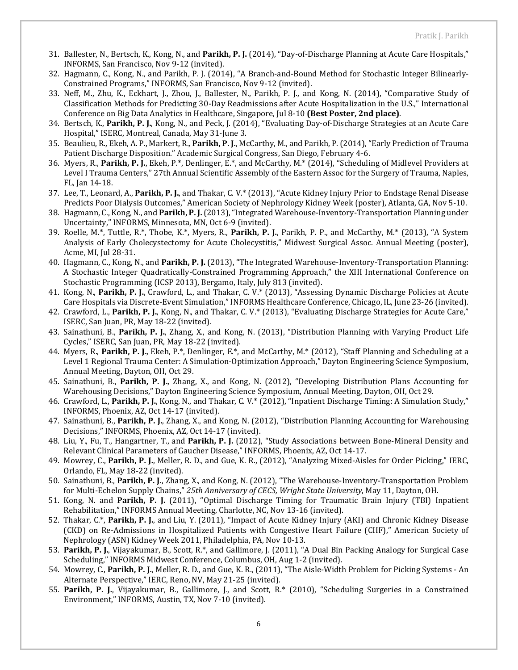- 31. Ballester, N., Bertsch, K., Kong, N., and **Parikh, P. J.** (2014), "Day-of-Discharge Planning at Acute Care Hospitals," INFORMS, San Francisco, Nov 9-12 (invited).
- 32. Hagmann, C., Kong, N., and Parikh, P. J. (2014), "A Branch-and-Bound Method for Stochastic Integer Bilinearly-Constrained Programs," INFORMS, San Francisco, Nov 9-12 (invited).
- 33. Neff, M., Zhu, K., Eckhart, J., Zhou, J., Ballester, N., Parikh, P. J., and Kong, N. (2014), "Comparative Study of Classification Methods for Predicting 30-Day Readmissions after Acute Hospitalization in the U.S.," International Conference on Big Data Analytics in Healthcare, Singapore, Jul 8-10 **(Best Poster, 2nd place)**.
- 34. Bertsch, K., **Parikh, P. J.**, Kong, N., and Peck, J. (2014), "Evaluating Day-of-Discharge Strategies at an Acute Care Hospital," ISERC, Montreal, Canada, May 31-June 3.
- 35. Beaulieu, R., Ekeh, A. P., Markert, R., **Parikh, P. J.**, McCarthy, M., and Parikh, P. (2014), "Early Prediction of Trauma Patient Discharge Disposition." Academic Surgical Congress, San Diego, February 4-6.
- 36. Myers, R., **Parikh, P. J.**, Ekeh, P.\*, Denlinger, E.\*, and McCarthy, M.\* (2014), "Scheduling of Midlevel Providers at Level I Trauma Centers," 27th Annual Scientific Assembly of the Eastern Assoc for the Surgery of Trauma, Naples, FL, Jan 14-18.
- 37. Lee, T., Leonard, A., **Parikh, P. J.**, and Thakar, C. V.\* (2013), "Acute Kidney Injury Prior to Endstage Renal Disease Predicts Poor Dialysis Outcomes," American Society of Nephrology Kidney Week (poster), Atlanta, GA, Nov 5-10.
- 38. Hagmann, C., Kong,N., and **Parikh, P. J.** (2013), "Integrated Warehouse-Inventory-Transportation Planning under Uncertainty," INFORMS, Minnesota, MN, Oct 6-9 (invited).
- 39. Roelle, M.\*, Tuttle, R.\*, Thobe, K.\*, Myers, R., **Parikh, P. J.**, Parikh, P. P., and McCarthy, M.\* (2013), "A System Analysis of Early Cholecystectomy for Acute Cholecystitis," Midwest Surgical Assoc. Annual Meeting (poster), Acme, MI, Jul 28-31.
- 40. Hagmann, C., Kong, N., and **Parikh, P. J.** (2013), "The Integrated Warehouse-Inventory-Transportation Planning: A Stochastic Integer Quadratically-Constrained Programming Approach," the XIII International Conference on Stochastic Programming (ICSP 2013), Bergamo, Italy, July 813 (invited).
- 41. Kong, N., **Parikh, P. J.**, Crawford, L., and Thakar, C. V.\* (2013), "Assessing Dynamic Discharge Policies at Acute Care Hospitals via Discrete-Event Simulation," INFORMS Healthcare Conference, Chicago, IL, June 23-26 (invited).
- 42. Crawford, L., **Parikh, P. J.**, Kong, N., and Thakar, C. V.\* (2013), "Evaluating Discharge Strategies for Acute Care," ISERC, San Juan, PR, May 18-22 (invited).
- 43. Sainathuni, B., **Parikh, P. J.**, Zhang, X., and Kong, N. (2013), "Distribution Planning with Varying Product Life Cycles," ISERC, San Juan, PR, May 18-22 (invited).
- 44. Myers, R., **Parikh, P. J.**, Ekeh, P.\*, Denlinger, E.\*, and McCarthy, M.\* (2012), "Staff Planning and Scheduling at a Level 1 Regional Trauma Center: A Simulation-Optimization Approach," Dayton Engineering Science Symposium, Annual Meeting, Dayton, OH, Oct 29.
- 45. Sainathuni, B., **Parikh, P. J.**, Zhang, X., and Kong, N. (2012), "Developing Distribution Plans Accounting for Warehousing Decisions," Dayton Engineering Science Symposium, Annual Meeting, Dayton, OH, Oct 29.
- 46. Crawford, L., **Parikh, P. J.**, Kong, N., and Thakar, C. V.\* (2012), "Inpatient Discharge Timing: A Simulation Study," INFORMS, Phoenix, AZ, Oct 14-17 (invited).
- 47. Sainathuni, B., **Parikh, P. J.**, Zhang, X., and Kong, N. (2012), "Distribution Planning Accounting for Warehousing Decisions," INFORMS, Phoenix, AZ, Oct 14-17 (invited).
- 48. Liu, Y., Fu, T., Hangartner, T., and **Parikh, P. J.** (2012), "Study Associations between Bone-Mineral Density and Relevant Clinical Parameters of Gaucher Disease," INFORMS, Phoenix, AZ, Oct 14-17.
- 49. Mowrey, C., **Parikh, P. J.**, Meller, R. D., and Gue, K. R., (2012), "Analyzing Mixed-Aisles for Order Picking," IERC, Orlando, FL, May 18-22 (invited).
- 50. Sainathuni, B., **Parikh, P. J.**, Zhang, X., and Kong, N. (2012), "The Warehouse-Inventory-Transportation Problem for Multi-Echelon Supply Chains," *25th Anniversary of CECS, Wright State University*, May 11, Dayton, OH.
- 51. Kong, N. and **Parikh, P. J.** (2011), "Optimal Discharge Timing for Traumatic Brain Injury (TBI) Inpatient Rehabilitation," INFORMS Annual Meeting, Charlotte, NC, Nov 13-16 (invited).
- 52. Thakar, C.\*, **Parikh, P. J.**, and Liu, Y. (2011), "Impact of Acute Kidney Injury (AKI) and Chronic Kidney Disease (CKD) on Re-Admissions in Hospitalized Patients with Congestive Heart Failure (CHF)," American Society of Nephrology (ASN) Kidney Week 2011, Philadelphia, PA, Nov 10-13.
- 53. **Parikh, P. J.**, Vijayakumar, B., Scott, R.\*, and Gallimore, J. (2011), "A Dual Bin Packing Analogy for Surgical Case Scheduling," INFORMS Midwest Conference, Columbus, OH, Aug 1-2 (invited).
- 54. Mowrey, C., **Parikh, P. J.**, Meller, R. D., and Gue, K. R., (2011), "The Aisle-Width Problem for Picking Systems An Alternate Perspective," IERC, Reno, NV, May 21-25 (invited).
- 55. **Parikh, P. J.**, Vijayakumar, B., Gallimore, J., and Scott, R.\* (2010), "Scheduling Surgeries in a Constrained Environment," INFORMS, Austin, TX, Nov 7-10 (invited).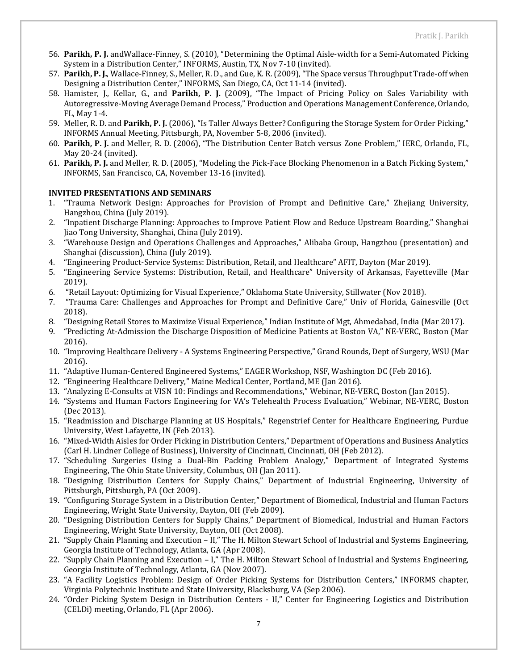- 56. **Parikh, P. J.** andWallace-Finney, S. (2010), "Determining the Optimal Aisle-width for a Semi-Automated Picking System in a Distribution Center," INFORMS, Austin, TX, Nov 7-10 (invited).
- 57. **Parikh, P. J.**, Wallace-Finney, S., Meller, R. D., and Gue, K. R. (2009), "The Space versus Throughput Trade-off when Designing a Distribution Center," INFORMS, San Diego, CA, Oct 11-14 (invited).
- 58. Hamister, J., Kellar, G., and **Parikh, P. J.** (2009), "The Impact of Pricing Policy on Sales Variability with Autoregressive-Moving Average Demand Process," Production and Operations Management Conference, Orlando, FL, May 1-4.
- 59. Meller, R. D. and **Parikh, P. J.** (2006), "Is Taller Always Better? Configuring the Storage System for Order Picking," INFORMS Annual Meeting, Pittsburgh, PA, November 5-8, 2006 (invited).
- 60. **Parikh, P. J.** and Meller, R. D. (2006), "The Distribution Center Batch versus Zone Problem," IERC, Orlando, FL, May 20-24 (invited).
- 61. **Parikh, P. J.** and Meller, R. D. (2005), "Modeling the Pick-Face Blocking Phenomenon in a Batch Picking System," INFORMS, San Francisco, CA, November 13-16 (invited).

#### **INVITED PRESENTATIONS AND SEMINARS**

- 1. "Trauma Network Design: Approaches for Provision of Prompt and Definitive Care," Zhejiang University, Hangzhou, China (July 2019).
- 2. "Inpatient Discharge Planning: Approaches to Improve Patient Flow and Reduce Upstream Boarding," Shanghai Jiao Tong University, Shanghai, China (July 2019).
- 3. "Warehouse Design and Operations Challenges and Approaches," Alibaba Group, Hangzhou (presentation) and Shanghai (discussion), China (July 2019).
- 4. "Engineering Product-Service Systems: Distribution, Retail, and Healthcare" AFIT, Dayton (Mar 2019).
- 5. "Engineering Service Systems: Distribution, Retail, and Healthcare" University of Arkansas, Fayetteville (Mar 2019).
- 6. "Retail Layout: Optimizing for Visual Experience," Oklahoma State University, Stillwater (Nov 2018).
- 7. "Trauma Care: Challenges and Approaches for Prompt and Definitive Care," Univ of Florida, Gainesville (Oct 2018).
- 8. "Designing Retail Stores to Maximize Visual Experience," Indian Institute of Mgt, Ahmedabad, India (Mar 2017).
- 9. "Predicting At-Admission the Discharge Disposition of Medicine Patients at Boston VA," NE-VERC, Boston (Mar 2016).
- 10. "Improving Healthcare Delivery A Systems Engineering Perspective," Grand Rounds, Dept of Surgery, WSU (Mar 2016).
- 11. "Adaptive Human-Centered Engineered Systems," EAGER Workshop, NSF, Washington DC (Feb 2016).
- 12. "Engineering Healthcare Delivery," Maine Medical Center, Portland, ME (Jan 2016).
- 13. "Analyzing E-Consults at VISN 10: Findings and Recommendations," Webinar, NE-VERC, Boston (Jan 2015).
- 14. "Systems and Human Factors Engineering for VA's Telehealth Process Evaluation," Webinar, NE-VERC, Boston (Dec 2013).
- 15. "Readmission and Discharge Planning at US Hospitals," Regenstrief Center for Healthcare Engineering, Purdue University, West Lafayette, IN (Feb 2013).
- 16. "Mixed-Width Aisles for Order Picking in Distribution Centers," Department of Operations and Business Analytics (Carl H. Lindner College of Business), University of Cincinnati, Cincinnati, OH (Feb 2012).
- 17. "Scheduling Surgeries Using a Dual-Bin Packing Problem Analogy," Department of Integrated Systems Engineering, The Ohio State University, Columbus, OH (Jan 2011).
- 18. "Designing Distribution Centers for Supply Chains," Department of Industrial Engineering, University of Pittsburgh, Pittsburgh, PA (Oct 2009).
- 19. "Configuring Storage System in a Distribution Center," Department of Biomedical, Industrial and Human Factors Engineering, Wright State University, Dayton, OH (Feb 2009).
- 20. "Designing Distribution Centers for Supply Chains," Department of Biomedical, Industrial and Human Factors Engineering, Wright State University, Dayton, OH (Oct 2008).
- 21. "Supply Chain Planning and Execution II," The H. Milton Stewart School of Industrial and Systems Engineering, Georgia Institute of Technology, Atlanta, GA (Apr 2008).
- 22. "Supply Chain Planning and Execution I," The H. Milton Stewart School of Industrial and Systems Engineering, Georgia Institute of Technology, Atlanta, GA (Nov 2007).
- 23. "A Facility Logistics Problem: Design of Order Picking Systems for Distribution Centers," INFORMS chapter, Virginia Polytechnic Institute and State University, Blacksburg, VA (Sep 2006).
- 24. "Order Picking System Design in Distribution Centers II," Center for Engineering Logistics and Distribution (CELDi) meeting, Orlando, FL (Apr 2006).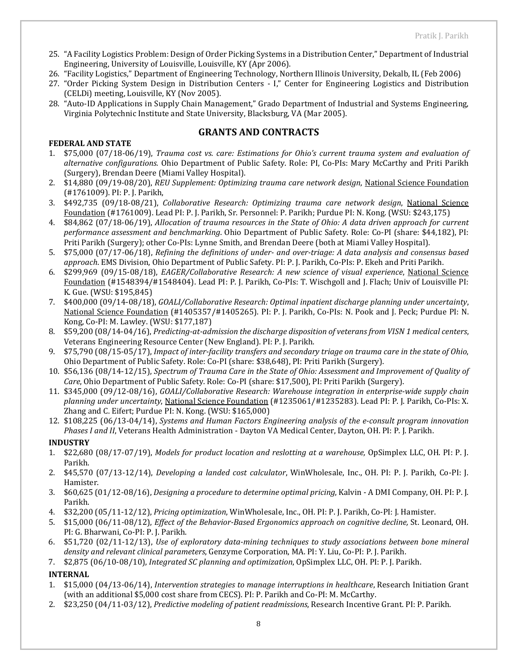- 25. "A Facility Logistics Problem: Design of Order Picking Systems in a Distribution Center," Department of Industrial Engineering, University of Louisville, Louisville, KY (Apr 2006).
- 26. "Facility Logistics," Department of Engineering Technology, Northern Illinois University, Dekalb, IL (Feb 2006)
- 27. "Order Picking System Design in Distribution Centers I," Center for Engineering Logistics and Distribution (CELDi) meeting, Louisville, KY (Nov 2005).
- 28. "Auto-ID Applications in Supply Chain Management," Grado Department of Industrial and Systems Engineering, Virginia Polytechnic Institute and State University, Blacksburg, VA (Mar 2005).

#### **FEDERAL AND STATE**

## **GRANTS AND CONTRACTS**

- 1. \$75,000 (07/18-06/19), *Trauma cost vs. care: Estimations for Ohio's current trauma system and evaluation of alternative configurations.* Ohio Department of Public Safety. Role: PI, Co-PIs: Mary McCarthy and Priti Parikh (Surgery), Brendan Deere (Miami Valley Hospital).
- 2. \$14,880 (09/19-08/20), *REU Supplement: Optimizing trauma care network design*, National Science Foundation (#1761009). PI: P. J. Parikh,
- 3. \$492,735 (09/18-08/21), *Collaborative Research: Optimizing trauma care network design*, National Science Foundation (#1761009). Lead PI: P. J. Parikh, Sr. Personnel: P. Parikh; Purdue PI: N. Kong. (WSU: \$243,175)
- 4. \$84,862 (07/18-06/19), *Allocation of trauma resources in the State of Ohio: A data driven approach for current performance assessment and benchmarking*. Ohio Department of Public Safety. Role: Co-PI (share: \$44,182), PI: Priti Parikh (Surgery); other Co-PIs: Lynne Smith, and Brendan Deere (both at Miami Valley Hospital).
- 5. \$75,000 (07/17-06/18), *Refining the definitions of under- and over-triage: A data analysis and consensus based approach*. EMS Division, Ohio Department of Public Safety. PI: P. J. Parikh, Co-PIs: P. Ekeh and Priti Parikh.
- 6. \$299,969 (09/15-08/18), *EAGER/Collaborative Research: A new science of visual experience*, National Science Foundation (#1548394/#1548404). Lead PI: P. J. Parikh, Co-PIs: T. Wischgoll and J. Flach; Univ of Louisville PI: K. Gue. (WSU: \$195,845)
- 7. \$400,000 (09/14-08/18), *GOALI/Collaborative Research: Optimal inpatient discharge planning under uncertainty*, National Science Foundation (#1405357/#1405265). PI: P. J. Parikh, Co-PIs: N. Pook and J. Peck; Purdue PI: N. Kong, Co-PI: M. Lawley. (WSU: \$177,187)
- 8. \$59,200 (08/14-04/16), *Predicting-at-admission the discharge disposition of veterans from VISN 1 medical centers*, Veterans Engineering Resource Center (New England). PI: P. J. Parikh.
- 9. \$75,790 (08/15-05/17), *Impact of inter-facility transfers and secondary triage on trauma care in the state of Ohio*, Ohio Department of Public Safety. Role: Co-PI (share: \$38,648), PI: Priti Parikh (Surgery).
- 10. \$56,136 (08/14-12/15), *Spectrum of Trauma Care in the State of Ohio: Assessment and Improvement of Quality of Care*, Ohio Department of Public Safety. Role: Co-PI (share: \$17,500), PI: Priti Parikh (Surgery).
- 11. \$345,000 (09/12-08/16), *GOALI/Collaborative Research: Warehouse integration in enterprise-wide supply chain planning under uncertainty*, National Science Foundation (#1235061/#1235283). Lead PI: P. J. Parikh, Co-PIs: X. Zhang and C. Eifert; Purdue PI: N. Kong. (WSU: \$165,000)
- 12. \$108,225 (06/13-04/14), *Systems and Human Factors Engineering analysis of the e-consult program innovation Phases I and II*, Veterans Health Administration - Dayton VA Medical Center, Dayton, OH. PI: P. J. Parikh.

## **INDUSTRY**

- 1. \$22,680 (08/17-07/19), *Models for product location and reslotting at a warehouse,* OpSimplex LLC, OH. PI: P. J. Parikh.
- 2. \$45,570 (07/13-12/14), *Developing a landed cost calculator*, WinWholesale, Inc., OH. PI: P. J. Parikh, Co-PI: J. Hamister.
- 3. \$60,625 (01/12-08/16), *Designing a procedure to determine optimal pricing*, Kalvin A DMI Company, OH. PI: P. J. Parikh.
- 4. \$32,200 (05/11-12/12), *Pricing optimization*, WinWholesale, Inc., OH. PI: P. J. Parikh, Co-PI: J. Hamister.
- 5. \$15,000 (06/11-08/12), *Effect of the Behavior-Based Ergonomics approach on cognitive decline,* St. Leonard, OH. PI: G. Bharwani, Co-PI: P. J. Parikh.
- 6. \$51,720 (02/11-12/13), *Use of exploratory data-mining techniques to study associations between bone mineral density and relevant clinical parameters*, Genzyme Corporation, MA. PI: Y. Liu, Co-PI: P. J. Parikh.
- 7. \$2,875 (06/10-08/10), *Integrated SC planning and optimization*, OpSimplex LLC, OH. PI: P. J. Parikh.

## **INTERNAL**

- 1. \$15,000 (04/13-06/14), *Intervention strategies to manage interruptions in healthcare*, Research Initiation Grant (with an additional \$5,000 cost share from CECS). PI: P. Parikh and Co-PI: M. McCarthy.
- 2. \$23,250 (04/11-03/12), *Predictive modeling of patient readmissions*, Research Incentive Grant. PI: P. Parikh.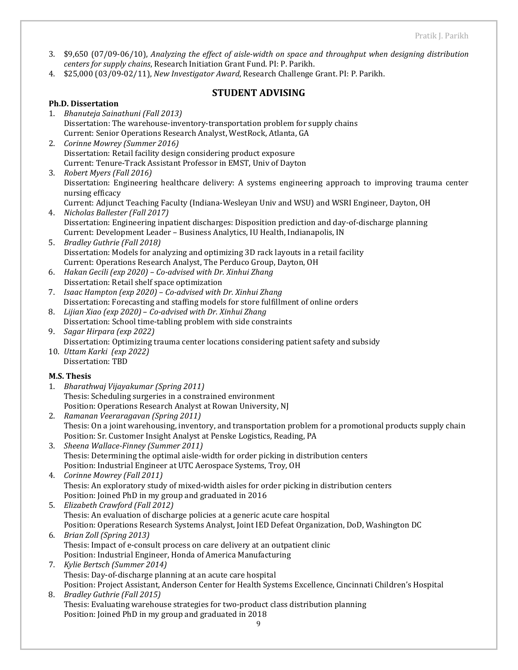- 3. \$9,650 (07/09-06/10), *Analyzing the effect of aisle-width on space and throughput when designing distribution centers for supply chains*, Research Initiation Grant Fund. PI: P. Parikh.
- 4. \$25,000 (03/09-02/11), *New Investigator Award*, Research Challenge Grant. PI: P. Parikh.

## **STUDENT ADVISING**

## **Ph.D. Dissertation**

- 1. *Bhanuteja Sainathuni (Fall 2013)* Dissertation: The warehouse-inventory-transportation problem for supply chains Current: Senior Operations Research Analyst, WestRock, Atlanta, GA
- 2. *Corinne Mowrey (Summer 2016)* Dissertation: Retail facility design considering product exposure Current: Tenure-Track Assistant Professor in EMST, Univ of Dayton
- 3. *Robert Myers (Fall 2016)* Dissertation: Engineering healthcare delivery: A systems engineering approach to improving trauma center nursing efficacy
- Current: Adjunct Teaching Faculty (Indiana-Wesleyan Univ and WSU) and WSRI Engineer, Dayton, OH 4. *Nicholas Ballester (Fall 2017)* Dissertation: Engineering inpatient discharges: Disposition prediction and day-of-discharge planning
- Current: Development Leader Business Analytics, IU Health, Indianapolis, IN 5. *Bradley Guthrie (Fall 2018)*
- Dissertation: Models for analyzing and optimizing 3D rack layouts in a retail facility Current: Operations Research Analyst, The Perduco Group, Dayton, OH
- 6. *Hakan Gecili (exp 2020) – Co-advised with Dr. Xinhui Zhang* Dissertation: Retail shelf space optimization
- 7. *Isaac Hampton (exp 2020) Co-advised with Dr. Xinhui Zhang*  Dissertation: Forecasting and staffing models for store fulfillment of online orders
- 8. *Lijian Xiao (exp 2020) Co-advised with Dr. Xinhui Zhang* Dissertation: School time-tabling problem with side constraints
- 9. *Sagar Hirpara (exp 2022)* Dissertation: Optimizing trauma center locations considering patient safety and subsidy
- 10. *Uttam Karki (exp 2022)* Dissertation: TBD

## **M.S. Thesis**

- 1. *Bharathwaj Vijayakumar (Spring 2011)* Thesis: Scheduling surgeries in a constrained environment Position: Operations Research Analyst at Rowan University, NJ
- 2. *Ramanan Veeraragavan (Spring 2011)* Thesis: On a joint warehousing, inventory, and transportation problem for a promotional products supply chain Position: Sr. Customer Insight Analyst at Penske Logistics, Reading, PA
- 3. *Sheena Wallace-Finney (Summer 2011)* Thesis: Determining the optimal aisle-width for order picking in distribution centers Position: Industrial Engineer at UTC Aerospace Systems, Troy, OH
- 4. *Corinne Mowrey (Fall 2011)* Thesis: An exploratory study of mixed-width aisles for order picking in distribution centers Position: Joined PhD in my group and graduated in 2016
- 5. *Elizabeth Crawford (Fall 2012)* Thesis: An evaluation of discharge policies at a generic acute care hospital Position: Operations Research Systems Analyst, Joint IED Defeat Organization, DoD, Washington DC
- 6. *Brian Zoll (Spring 2013)* Thesis: Impact of e-consult process on care delivery at an outpatient clinic Position: Industrial Engineer, Honda of America Manufacturing
- 7. *Kylie Bertsch (Summer 2014)* Thesis: Day-of-discharge planning at an acute care hospital Position: Project Assistant, Anderson Center for Health Systems Excellence, Cincinnati Children's Hospital
- 8. *Bradley Guthrie (Fall 2015)* Thesis: Evaluating warehouse strategies for two-product class distribution planning Position: Joined PhD in my group and graduated in 2018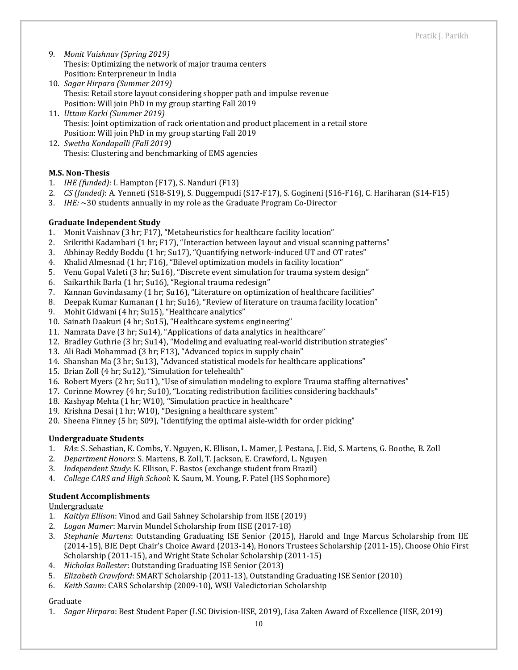- 9. *Monit Vaishnav (Spring 2019)* Thesis: Optimizing the network of major trauma centers Position: Enterpreneur in India
- 10. *Sagar Hirpara (Summer 2019)* Thesis: Retail store layout considering shopper path and impulse revenue Position: Will join PhD in my group starting Fall 2019
- 11. *Uttam Karki (Summer 2019)* Thesis: Joint optimization of rack orientation and product placement in a retail store Position: Will join PhD in my group starting Fall 2019
- 12. *Swetha Kondapalli (Fall 2019)* Thesis: Clustering and benchmarking of EMS agencies

## **M.S. Non-Thesis**

- 1. *IHE (funded):* I. Hampton (F17), S. Nanduri (F13)
- 2. *CS (funded)*: A. Yenneti (S18-S19), S. Duggempudi (S17-F17), S. Gogineni (S16-F16), C. Hariharan (S14-F15)
- 3. *IHE:* ~30 students annually in my role as the Graduate Program Co-Director

## **Graduate Independent Study**

- 1. Monit Vaishnav (3 hr; F17), "Metaheuristics for healthcare facility location"
- 2. Srikrithi Kadambari (1 hr; F17), "Interaction between layout and visual scanning patterns"
- 3. Abhinay Reddy Boddu (1 hr; Su17), "Quantifying network-induced UT and OT rates"
- 4. Khalid Almesnad (1 hr; F16), "Bilevel optimization models in facility location"
- 5. Venu Gopal Valeti (3 hr; Su16), "Discrete event simulation for trauma system design"
- 6. Saikarthik Barla (1 hr; Su16), "Regional trauma redesign"
- 7. Kannan Govindasamy (1 hr; Su16), "Literature on optimization of healthcare facilities"
- 8. Deepak Kumar Kumanan (1 hr; Su16), "Review of literature on trauma facility location"
- 9. Mohit Gidwani (4 hr; Su15), "Healthcare analytics"
- 10. Sainath Daakuri (4 hr; Su15), "Healthcare systems engineering"
- 11. Namrata Dave (3 hr; Su14), "Applications of data analytics in healthcare"
- 12. Bradley Guthrie (3 hr; Su14), "Modeling and evaluating real-world distribution strategies"
- 13. Ali Badi Mohammad (3 hr; F13), "Advanced topics in supply chain"
- 14. Shanshan Ma (3 hr; Su13), "Advanced statistical models for healthcare applications"
- 15. Brian Zoll (4 hr; Su12), "Simulation for telehealth"
- 16. Robert Myers (2 hr; Su11), "Use of simulation modeling to explore Trauma staffing alternatives"
- 17. Corinne Mowrey (4 hr; Su10), "Locating redistribution facilities considering backhauls"
- 18. Kashyap Mehta (1 hr; W10), "Simulation practice in healthcare"
- 19. Krishna Desai (1 hr; W10), "Designing a healthcare system"
- 20. Sheena Finney (5 hr; S09), "Identifying the optimal aisle-width for order picking"

## **Undergraduate Students**

- 1. *RAs*: S. Sebastian, K. Combs, Y. Nguyen, K. Ellison, L. Mamer, J. Pestana, J. Eid, S. Martens, G. Boothe, B. Zoll
- 2. *Department Honors*: S. Martens, B. Zoll, T. Jackson, E. Crawford, L. Nguyen
- 3. *Independent Study*: K. Ellison, F. Bastos (exchange student from Brazil)
- 4. *College CARS and High School*: K. Saum, M. Young, F. Patel (HS Sophomore)

## **Student Accomplishments**

Undergraduate

- 1. *Kaitlyn Ellison*: Vinod and Gail Sahney Scholarship from IISE (2019)
- 2. *Logan Mamer*: Marvin Mundel Scholarship from IISE (2017-18)
- 3. *Stephanie Martens*: Outstanding Graduating ISE Senior (2015), Harold and Inge Marcus Scholarship from IIE (2014-15), BIE Dept Chair's Choice Award (2013-14), Honors Trustees Scholarship (2011-15), Choose Ohio First Scholarship (2011-15), and Wright State Scholar Scholarship (2011-15)
- 4. *Nicholas Ballester*: Outstanding Graduating ISE Senior (2013)
- 5. *Elizabeth Crawford*: SMART Scholarship (2011-13), Outstanding Graduating ISE Senior (2010)
- 6. *Keith Saum*: CARS Scholarship (2009-10), WSU Valedictorian Scholarship

## Graduate

1. *Sagar Hirpara*: Best Student Paper (LSC Division-IISE, 2019), Lisa Zaken Award of Excellence (IISE, 2019)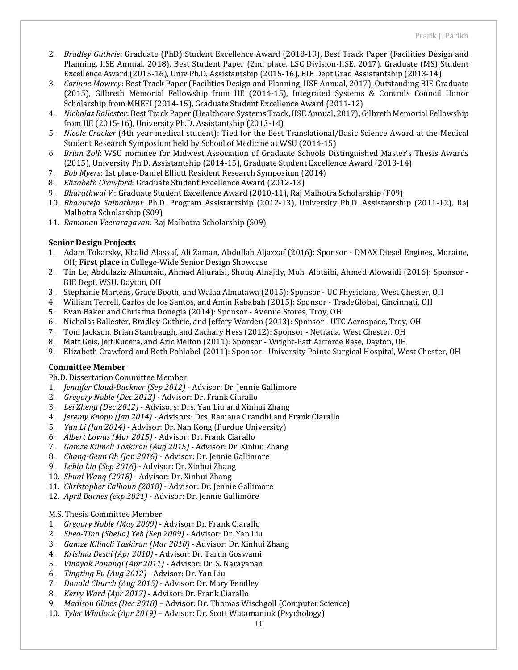- 2. *Bradley Guthrie*: Graduate (PhD) Student Excellence Award (2018-19), Best Track Paper (Facilities Design and Planning, IISE Annual, 2018), Best Student Paper (2nd place, LSC Division-IISE, 2017), Graduate (MS) Student Excellence Award (2015-16), Univ Ph.D. Assistantship (2015-16), BIE Dept Grad Assistantship (2013-14)
- 3. *Corinne Mowrey*: Best Track Paper (Facilities Design and Planning, IISE Annual, 2017), Outstanding BIE Graduate (2015), Gilbreth Memorial Fellowship from IIE (2014-15), Integrated Systems & Controls Council Honor Scholarship from MHEFI (2014-15), Graduate Student Excellence Award (2011-12)
- 4. *Nicholas Ballester*: Best Track Paper (Healthcare Systems Track, IISE Annual, 2017), Gilbreth Memorial Fellowship from IIE (2015-16), University Ph.D. Assistantship (2013-14)
- 5. *Nicole Cracker* (4th year medical student): Tied for the Best Translational/Basic Science Award at the Medical Student Research Symposium held by School of Medicine at WSU (2014-15)
- 6. *Brian Zoll*: WSU nominee for Midwest Association of Graduate Schools Distinguished Master's Thesis Awards (2015), University Ph.D. Assistantship (2014-15), Graduate Student Excellence Award (2013-14)
- 7. *Bob Myers*: 1st place-Daniel Elliott Resident Research Symposium (2014)
- 8. *Elizabeth Crawford*: Graduate Student Excellence Award (2012-13)
- 9. *Bharathwaj V.*: Graduate Student Excellence Award (2010-11), Raj Malhotra Scholarship (F09)
- 10. *Bhanuteja Sainathuni*: Ph.D. Program Assistantship (2012-13), University Ph.D. Assistantship (2011-12), Raj Malhotra Scholarship (S09)
- 11. *Ramanan Veeraragavan*: Raj Malhotra Scholarship (S09)

#### **Senior Design Projects**

- 1. Adam Tokarsky, Khalid Alassaf, Ali Zaman, Abdullah Aljazzaf (2016): Sponsor DMAX Diesel Engines, Moraine, OH; **First place** in College-Wide Senior Design Showcase
- 2. Tin Le, Abdulaziz Alhumaid, Ahmad Aljuraisi, Shouq Alnajdy, Moh. Alotaibi, Ahmed Alowaidi (2016): Sponsor BIE Dept, WSU, Dayton, OH
- 3. Stephanie Martens, Grace Booth, and Walaa Almutawa (2015): Sponsor UC Physicians, West Chester, OH
- 4. William Terrell, Carlos de los Santos, and Amin Rababah (2015): Sponsor TradeGlobal, Cincinnati, OH
- 5. Evan Baker and Christina Donegia (2014): Sponsor Avenue Stores, Troy, OH
- 6. Nicholas Ballester, Bradley Guthrie, and Jeffery Warden (2013): Sponsor UTC Aerospace, Troy, OH
- 7. Toni Jackson, Brian Stambaugh, and Zachary Hess (2012): Sponsor Netrada, West Chester, OH
- 8. Matt Geis, Jeff Kucera, and Aric Melton (2011): Sponsor Wright-Patt Airforce Base, Dayton, OH
- 9. Elizabeth Crawford and Beth Pohlabel (2011): Sponsor University Pointe Surgical Hospital, West Chester, OH

## **Committee Member**

#### Ph.D. Dissertation Committee Member

- 1. *Jennifer Cloud-Buckner (Sep 2012)*  Advisor: Dr. Jennie Gallimore
- 2. *Gregory Noble (Dec 2012)*  Advisor: Dr. Frank Ciarallo
- 3. *Lei Zheng (Dec 2012)*  Advisors: Drs. Yan Liu and Xinhui Zhang
- 4. *Jeremy Knopp (Jan 2014)*  Advisors: Drs. Ramana Grandhi and Frank Ciarallo
- 5. *Yan Li (Jun 2014)*  Advisor: Dr. Nan Kong (Purdue University)
- 6. *Albert Lowas (Mar 2015)*  Advisor: Dr. Frank Ciarallo
- 7. *Gamze Kilincli Taskiran (Aug 2015)*  Advisor: Dr. Xinhui Zhang
- 8. *Chang-Geun Oh (Jan 2016)*  Advisor: Dr. Jennie Gallimore
- 9. *Lebin Lin (Sep 2016)*  Advisor: Dr. Xinhui Zhang
- 10. *Shuai Wang (2018)*  Advisor: Dr. Xinhui Zhang
- 11. *Christopher Calhoun (2018)*  Advisor: Dr. Jennie Gallimore
- 12. *April Barnes (exp 2021)* Advisor: Dr. Jennie Gallimore

#### M.S. Thesis Committee Member

- 1. *Gregory Noble (May 2009)*  Advisor: Dr. Frank Ciarallo
- 2. *Shea-Tinn (Sheila) Yeh (Sep 2009)*  Advisor: Dr. Yan Liu
- 3. *Gamze Kilincli Taskiran (Mar 2010)*  Advisor: Dr. Xinhui Zhang
- 4. *Krishna Desai (Apr 2010)*  Advisor: Dr. Tarun Goswami
- 5. *Vinayak Ponangi (Apr 2011)*  Advisor: Dr. S. Narayanan
- 6. *Tingting Fu (Aug 2012)*  Advisor: Dr. Yan Liu
- 7. *Donald Church (Aug 2015)*  Advisor: Dr. Mary Fendley
- 8. *Kerry Ward (Apr 2017)*  Advisor: Dr. Frank Ciarallo
- 9. *Madison Glines (Dec 2018)* Advisor: Dr. Thomas Wischgoll (Computer Science)
- 10. *Tyler Whitlock (Apr 2019)* Advisor: Dr. Scott Watamaniuk (Psychology)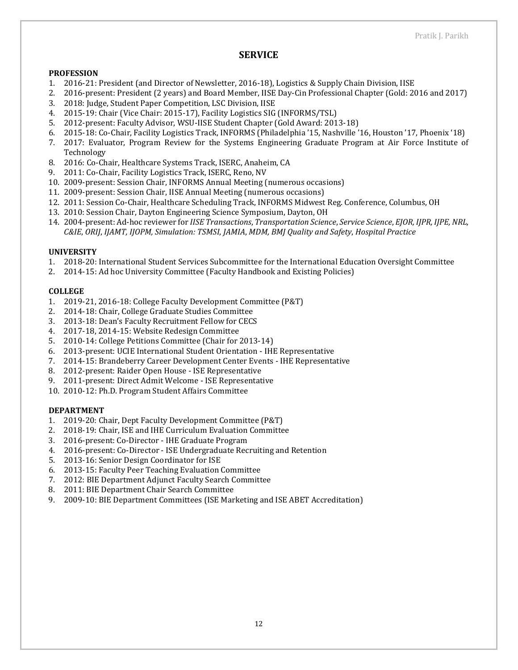## **SERVICE**

#### **PROFESSION**

- 1. 2016-21: President (and Director of Newsletter, 2016-18), Logistics & Supply Chain Division, IISE
- 2. 2016-present: President (2 years) and Board Member, IISE Day-Cin Professional Chapter (Gold: 2016 and 2017)
- 3. 2018: Judge, Student Paper Competition, LSC Division, IISE
- 4. 2015-19: Chair (Vice Chair: 2015-17), Facility Logistics SIG (INFORMS/TSL)
- 5. 2012-present: Faculty Advisor, WSU-IISE Student Chapter (Gold Award: 2013-18)
- 6. 2015-18: Co-Chair, Facility Logistics Track, INFORMS (Philadelphia '15, Nashville '16, Houston '17, Phoenix '18)
- 7. 2017: Evaluator, Program Review for the Systems Engineering Graduate Program at Air Force Institute of Technology
- 8. 2016: Co-Chair, Healthcare Systems Track, ISERC, Anaheim, CA
- 9. 2011: Co-Chair, Facility Logistics Track, ISERC, Reno, NV
- 10. 2009-present: Session Chair, INFORMS Annual Meeting (numerous occasions)
- 11. 2009-present: Session Chair, IISE Annual Meeting (numerous occasions)
- 12. 2011: Session Co-Chair, Healthcare Scheduling Track, INFORMS Midwest Reg. Conference, Columbus, OH
- 13. 2010: Session Chair, Dayton Engineering Science Symposium, Dayton, OH
- 14. 2004-present: Ad-hoc reviewer for *IISE Transactions*, *Transportation Science*, *Service Science*, *EJOR, IJPR, IJPE, NRL, C&IE*, *ORIJ*, *IJAMT, IJOPM, Simulation: TSMSI*, *JAMIA*, *MDM, BMJ Quality and Safety*, *Hospital Practice*

#### **UNIVERSITY**

- 1. 2018-20: International Student Services Subcommittee for the International Education Oversight Committee
- 2. 2014-15: Ad hoc University Committee (Faculty Handbook and Existing Policies)

#### **COLLEGE**

- 1. 2019-21, 2016-18: College Faculty Development Committee (P&T)
- 2. 2014-18: Chair, College Graduate Studies Committee
- 3. 2013-18: Dean's Faculty Recruitment Fellow for CECS
- 4. 2017-18, 2014-15: Website Redesign Committee
- 5. 2010-14: College Petitions Committee (Chair for 2013-14)
- 6. 2013-present: UCIE International Student Orientation IHE Representative
- 7. 2014-15: Brandeberry Career Development Center Events IHE Representative
- 8. 2012-present: Raider Open House ISE Representative
- 9. 2011-present: Direct Admit Welcome ISE Representative
- 10. 2010-12: Ph.D. Program Student Affairs Committee

#### **DEPARTMENT**

- 1. 2019-20: Chair, Dept Faculty Development Committee (P&T)
- 2. 2018-19: Chair, ISE and IHE Curriculum Evaluation Committee
- 3. 2016-present: Co-Director IHE Graduate Program
- 4. 2016-present: Co-Director ISE Undergraduate Recruiting and Retention
- 5. 2013-16: Senior Design Coordinator for ISE
- 6. 2013-15: Faculty Peer Teaching Evaluation Committee
- 7. 2012: BIE Department Adjunct Faculty Search Committee
- 8. 2011: BIE Department Chair Search Committee
- 9. 2009-10: BIE Department Committees (ISE Marketing and ISE ABET Accreditation)